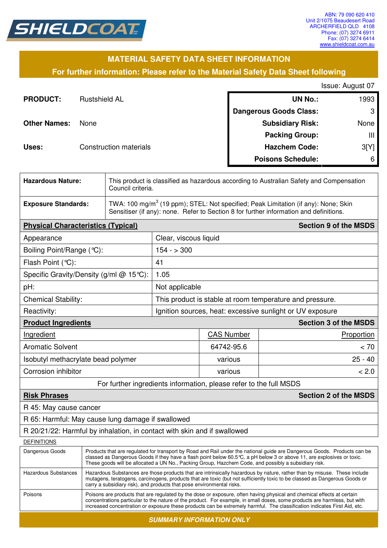

## **MATERIAL SAFETY DATA SHEET INFORMATION**

**For further information: Please refer to the Material Safety Data Sheet following**

Issue: August 07

| <b>PRODUCT:</b>     | <b>Rustshield AL</b>   | <b>UN No.:</b>                | 1993 |
|---------------------|------------------------|-------------------------------|------|
|                     |                        | <b>Dangerous Goods Class:</b> | -3   |
| <b>Other Names:</b> | None                   | <b>Subsidiary Risk:</b>       | None |
|                     |                        | <b>Packing Group:</b>         | Ш    |
| Uses:               | Construction materials | <b>Hazchem Code:</b>          | 3[Y] |
|                     |                        | <b>Poisons Schedule:</b>      | 6    |

| <b>Hazardous Nature:</b>                                                 |                                         | This product is classified as hazardous according to Australian Safety and Compensation<br>Council criteria.                                                                                                                                                                                                                                                |                                                                    |                              |  |
|--------------------------------------------------------------------------|-----------------------------------------|-------------------------------------------------------------------------------------------------------------------------------------------------------------------------------------------------------------------------------------------------------------------------------------------------------------------------------------------------------------|--------------------------------------------------------------------|------------------------------|--|
| <b>Exposure Standards:</b>                                               |                                         | TWA: 100 mg/m <sup>3</sup> (19 ppm); STEL: Not specified; Peak Limitation (if any): None; Skin<br>Sensitiser (if any): none. Refer to Section 8 for further information and definitions.                                                                                                                                                                    |                                                                    |                              |  |
| <b>Physical Characteristics (Typical)</b>                                |                                         |                                                                                                                                                                                                                                                                                                                                                             |                                                                    | <b>Section 9 of the MSDS</b> |  |
| Appearance                                                               |                                         | Clear, viscous liquid                                                                                                                                                                                                                                                                                                                                       |                                                                    |                              |  |
| Boiling Point/Range (°C):                                                |                                         | $154 - 300$                                                                                                                                                                                                                                                                                                                                                 |                                                                    |                              |  |
| Flash Point (°C):                                                        |                                         | 41                                                                                                                                                                                                                                                                                                                                                          |                                                                    |                              |  |
|                                                                          | Specific Gravity/Density (g/ml @ 15°C): | 1.05                                                                                                                                                                                                                                                                                                                                                        |                                                                    |                              |  |
| pH:                                                                      |                                         | Not applicable                                                                                                                                                                                                                                                                                                                                              |                                                                    |                              |  |
| <b>Chemical Stability:</b>                                               |                                         | This product is stable at room temperature and pressure.                                                                                                                                                                                                                                                                                                    |                                                                    |                              |  |
| Reactivity:                                                              |                                         | Ignition sources, heat: excessive sunlight or UV exposure                                                                                                                                                                                                                                                                                                   |                                                                    |                              |  |
| <b>Product Ingredients</b>                                               |                                         |                                                                                                                                                                                                                                                                                                                                                             |                                                                    | <b>Section 3 of the MSDS</b> |  |
| Ingredient                                                               |                                         |                                                                                                                                                                                                                                                                                                                                                             | <b>CAS Number</b>                                                  | Proportion                   |  |
| <b>Aromatic Solvent</b>                                                  |                                         |                                                                                                                                                                                                                                                                                                                                                             | 64742-95.6                                                         | < 70                         |  |
| Isobutyl methacrylate bead polymer                                       |                                         |                                                                                                                                                                                                                                                                                                                                                             | various                                                            | $25 - 40$                    |  |
| Corrosion inhibitor                                                      |                                         |                                                                                                                                                                                                                                                                                                                                                             | various                                                            | < 2.0                        |  |
|                                                                          |                                         |                                                                                                                                                                                                                                                                                                                                                             | For further ingredients information, please refer to the full MSDS |                              |  |
| <b>Risk Phrases</b>                                                      |                                         |                                                                                                                                                                                                                                                                                                                                                             |                                                                    | <b>Section 2 of the MSDS</b> |  |
| R 45: May cause cancer                                                   |                                         |                                                                                                                                                                                                                                                                                                                                                             |                                                                    |                              |  |
| R 65: Harmful: May cause lung damage if swallowed                        |                                         |                                                                                                                                                                                                                                                                                                                                                             |                                                                    |                              |  |
| R 20/21/22: Harmful by inhalation, in contact with skin and if swallowed |                                         |                                                                                                                                                                                                                                                                                                                                                             |                                                                    |                              |  |
| <b>DEFINITIONS</b>                                                       |                                         |                                                                                                                                                                                                                                                                                                                                                             |                                                                    |                              |  |
| Dangerous Goods                                                          |                                         | Products that are regulated for transport by Road and Rail under the national guide are Dangerous Goods. Products can be<br>classed as Dangerous Goods if they have a flash point below 60.5 °C, a pH below 3 or above 11, are explosives or toxic.<br>These goods will be allocated a UN No., Packing Group, Hazchem Code, and possibly a subsidiary risk. |                                                                    |                              |  |

| Hazardous Substances | Hazardous Substances are those products that are intrinsically hazardous by nature, rather than by misuse. These include<br>mutagens, teratogens, carcinogens, products that are toxic (but not sufficiently toxic to be classed as Dangerous Goods or<br>carry a subsidiary risk), and products that pose environmental risks.                                                  |
|----------------------|----------------------------------------------------------------------------------------------------------------------------------------------------------------------------------------------------------------------------------------------------------------------------------------------------------------------------------------------------------------------------------|
| Poisons              | Poisons are products that are regulated by the dose or exposure, often having physical and chemical effects at certain<br>concentrations particular to the nature of the product. For example, in small doses, some products are harmless, but with<br>increased concentration or exposure these products can be extremely harmful. The classification indicates First Aid, etc. |

**SUMMARY INFORMATION ONLY**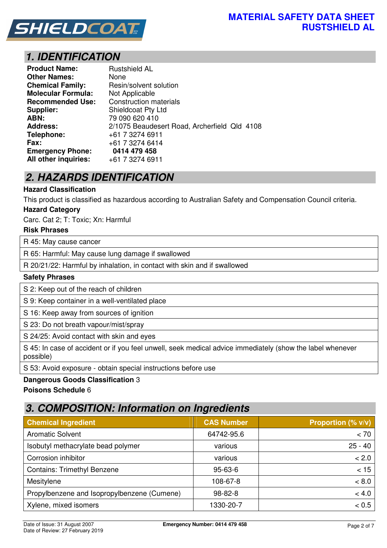

# **1. IDENTIFICATION**

| <b>Product Name:</b>      | <b>Rustshield AL</b>                         |
|---------------------------|----------------------------------------------|
| <b>Other Names:</b>       | None                                         |
| <b>Chemical Family:</b>   | Resin/solvent solution                       |
| <b>Molecular Formula:</b> | Not Applicable                               |
| <b>Recommended Use:</b>   | <b>Construction materials</b>                |
| Supplier:                 | <b>Shieldcoat Pty Ltd</b>                    |
| ABN:                      | 79 090 620 410                               |
| <b>Address:</b>           | 2/1075 Beaudesert Road, Archerfield Qld 4108 |
| Telephone:                | +61 7 3274 6911                              |
| <b>Fax:</b>               | +61 7 3274 6414                              |
| <b>Emergency Phone:</b>   | 0414 479 458                                 |
| All other inquiries:      | +61 7 3274 6911                              |

# **2. HAZARDS IDENTIFICATION**

## **Hazard Classification**

This product is classified as hazardous according to Australian Safety and Compensation Council criteria.

### **Hazard Category**

Carc. Cat 2; T: Toxic; Xn: Harmful

### **Risk Phrases**

R 45: May cause cancer

R 65: Harmful: May cause lung damage if swallowed

R 20/21/22: Harmful by inhalation, in contact with skin and if swallowed

#### **Safety Phrases**

S 2: Keep out of the reach of children

S 9: Keep container in a well-ventilated place

S 16: Keep away from sources of ignition

S 23: Do not breath vapour/mist/spray

S 24/25: Avoid contact with skin and eyes

S 45: In case of accident or if you feel unwell, seek medical advice immediately (show the label whenever possible)

S 53: Avoid exposure - obtain special instructions before use

### **Dangerous Goods Classification** 3

### **Poisons Schedule** 6

## **3. COMPOSITION: Information on Ingredients**

| <b>Chemical Ingredient</b>                  | <b>CAS Number</b> | Proportion (% v/v) |
|---------------------------------------------|-------------------|--------------------|
| <b>Aromatic Solvent</b>                     | 64742-95.6        | < 70               |
| Isobutyl methacrylate bead polymer          | various           | $25 - 40$          |
| Corrosion inhibitor                         | various           | < 2.0              |
| <b>Contains: Trimethyl Benzene</b>          | $95 - 63 - 6$     | < 15               |
| Mesitylene                                  | 108-67-8          | < 8.0              |
| Propylbenzene and Isopropylbenzene (Cumene) | $98 - 82 - 8$     | < 4.0              |
| Xylene, mixed isomers                       | 1330-20-7         | < 0.5              |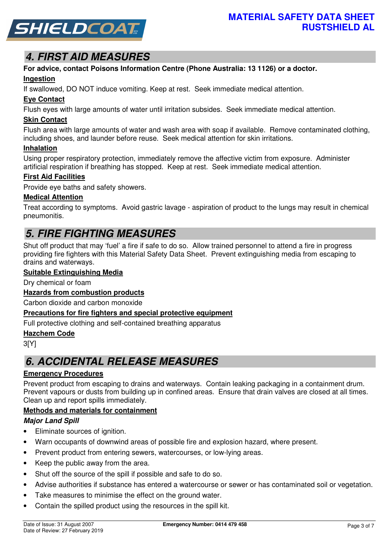

# **4. FIRST AID MEASURES**

# **For advice, contact Poisons Information Centre (Phone Australia: 13 1126) or a doctor.**

## **Ingestion**

If swallowed, DO NOT induce vomiting. Keep at rest. Seek immediate medical attention.

## **Eye Contact**

Flush eyes with large amounts of water until irritation subsides. Seek immediate medical attention.

## **Skin Contact**

Flush area with large amounts of water and wash area with soap if available. Remove contaminated clothing, including shoes, and launder before reuse. Seek medical attention for skin irritations.

### **Inhalation**

Using proper respiratory protection, immediately remove the affective victim from exposure. Administer artificial respiration if breathing has stopped. Keep at rest. Seek immediate medical attention.

## **First Aid Facilities**

Provide eye baths and safety showers.

## **Medical Attention**

Treat according to symptoms. Avoid gastric lavage - aspiration of product to the lungs may result in chemical pneumonitis.

# **5. FIRE FIGHTING MEASURES**

Shut off product that may 'fuel' a fire if safe to do so. Allow trained personnel to attend a fire in progress providing fire fighters with this Material Safety Data Sheet. Prevent extinguishing media from escaping to drains and waterways.

## **Suitable Extinguishing Media**

Dry chemical or foam

## **Hazards from combustion products**

Carbon dioxide and carbon monoxide

### **Precautions for fire fighters and special protective equipment**

Full protective clothing and self-contained breathing apparatus

### **Hazchem Code**

3[Y]

## **6. ACCIDENTAL RELEASE MEASURES**

## **Emergency Procedures**

Prevent product from escaping to drains and waterways. Contain leaking packaging in a containment drum. Prevent vapours or dusts from building up in confined areas. Ensure that drain valves are closed at all times. Clean up and report spills immediately.

## **Methods and materials for containment**

## **Major Land Spill**

- Eliminate sources of ignition.
- Warn occupants of downwind areas of possible fire and explosion hazard, where present.
- Prevent product from entering sewers, watercourses, or low-lying areas.
- Keep the public away from the area.
- Shut off the source of the spill if possible and safe to do so.
- Advise authorities if substance has entered a watercourse or sewer or has contaminated soil or vegetation.
- Take measures to minimise the effect on the ground water.
- Contain the spilled product using the resources in the spill kit.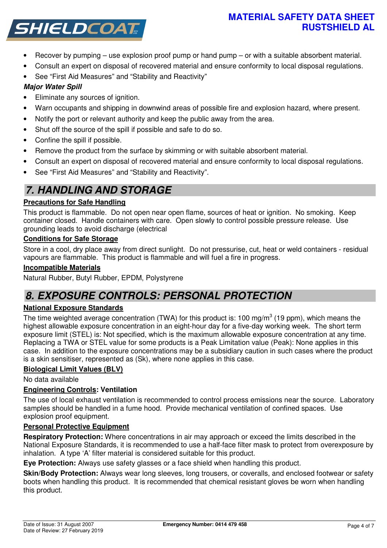## **MATERIAL SAFETY DATA SHEET RUSTSHIELD AL**



- Recover by pumping use explosion proof pump or hand pump or with a suitable absorbent material.
- Consult an expert on disposal of recovered material and ensure conformity to local disposal regulations.
- See "First Aid Measures" and "Stability and Reactivity"

## **Major Water Spill**

- Eliminate any sources of ignition.
- Warn occupants and shipping in downwind areas of possible fire and explosion hazard, where present.
- Notify the port or relevant authority and keep the public away from the area.
- Shut off the source of the spill if possible and safe to do so.
- Confine the spill if possible.
- Remove the product from the surface by skimming or with suitable absorbent material.
- Consult an expert on disposal of recovered material and ensure conformity to local disposal regulations.
- See "First Aid Measures" and "Stability and Reactivity".

# **7. HANDLING AND STORAGE**

## **Precautions for Safe Handling**

This product is flammable. Do not open near open flame, sources of heat or ignition. No smoking. Keep container closed. Handle containers with care. Open slowly to control possible pressure release. Use grounding leads to avoid discharge (electrical

## **Conditions for Safe Storage**

Store in a cool, dry place away from direct sunlight. Do not pressurise, cut, heat or weld containers - residual vapours are flammable. This product is flammable and will fuel a fire in progress.

## **Incompatible Materials**

Natural Rubber, Butyl Rubber, EPDM, Polystyrene

## **8. EXPOSURE CONTROLS: PERSONAL PROTECTION**

## **National Exposure Standards**

The time weighted average concentration (TWA) for this product is: 100 mg/m<sup>3</sup> (19 ppm), which means the highest allowable exposure concentration in an eight-hour day for a five-day working week. The short term exposure limit (STEL) is: Not specified, which is the maximum allowable exposure concentration at any time. Replacing a TWA or STEL value for some products is a Peak Limitation value (Peak): None applies in this case. In addition to the exposure concentrations may be a subsidiary caution in such cases where the product is a skin sensitiser, represented as (Sk), where none applies in this case.

## **Biological Limit Values (BLV)**

No data available

## **Engineering Controls: Ventilation**

The use of local exhaust ventilation is recommended to control process emissions near the source. Laboratory samples should be handled in a fume hood. Provide mechanical ventilation of confined spaces. Use explosion proof equipment.

## **Personal Protective Equipment**

**Respiratory Protection:** Where concentrations in air may approach or exceed the limits described in the National Exposure Standards, it is recommended to use a half-face filter mask to protect from overexposure by inhalation. A type 'A' filter material is considered suitable for this product.

**Eye Protection:** Always use safety glasses or a face shield when handling this product.

**Skin/Body Protection:** Always wear long sleeves, long trousers, or coveralls, and enclosed footwear or safety boots when handling this product. It is recommended that chemical resistant gloves be worn when handling this product.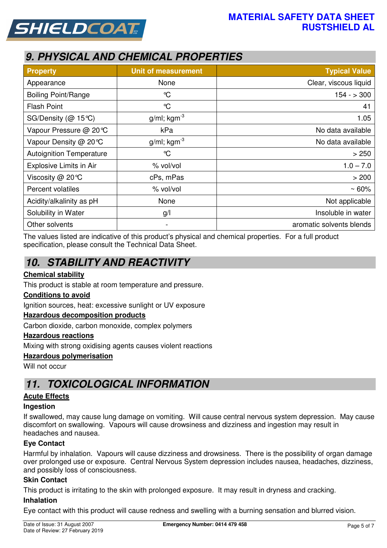



# **9. PHYSICAL AND CHEMICAL PROPERTIES**

| <b>Property</b>                 | <b>Unit of measurement</b> | <b>Typical Value</b>     |
|---------------------------------|----------------------------|--------------------------|
| Appearance                      | None                       | Clear, viscous liquid    |
| <b>Boiling Point/Range</b>      | $\mathrm{C}$               | $154 - 300$              |
| <b>Flash Point</b>              | $\mathrm{C}$               | 41                       |
| SG/Density ( $@$ 15 °C)         | $g/ml$ ; kgm <sup>-3</sup> | 1.05                     |
| Vapour Pressure @ 20℃           | kPa                        | No data available        |
| Vapour Density @ 20 °C          | $g/ml$ ; kgm <sup>-3</sup> | No data available        |
| <b>Autoignition Temperature</b> | $\mathrm{C}$               | > 250                    |
| Explosive Limits in Air         | % vol/vol                  | $1.0 - 7.0$              |
| Viscosity @ 20°C                | cPs, mPas                  | > 200                    |
| Percent volatiles               | % vol/vol                  | $~50\%$                  |
| Acidity/alkalinity as pH        | None                       | Not applicable           |
| Solubility in Water             | g/l                        | Insoluble in water       |
| Other solvents                  | -                          | aromatic solvents blends |

The values listed are indicative of this product's physical and chemical properties. For a full product specification, please consult the Technical Data Sheet.

# **10. STABILITY AND REACTIVITY**

## **Chemical stability**

This product is stable at room temperature and pressure.

## **Conditions to avoid**

Ignition sources, heat: excessive sunlight or UV exposure

## **Hazardous decomposition products**

Carbon dioxide, carbon monoxide, complex polymers

### **Hazardous reactions**

Mixing with strong oxidising agents causes violent reactions

### **Hazardous polymerisation**

Will not occur

## **11. TOXICOLOGICAL INFORMATION**

## **Acute Effects**

### **Ingestion**

If swallowed, may cause lung damage on vomiting. Will cause central nervous system depression. May cause discomfort on swallowing. Vapours will cause drowsiness and dizziness and ingestion may result in headaches and nausea.

## **Eye Contact**

Harmful by inhalation. Vapours will cause dizziness and drowsiness. There is the possibility of organ damage over prolonged use or exposure. Central Nervous System depression includes nausea, headaches, dizziness, and possibly loss of consciousness.

### **Skin Contact**

This product is irritating to the skin with prolonged exposure. It may result in dryness and cracking.

### **Inhalation**

Eye contact with this product will cause redness and swelling with a burning sensation and blurred vision.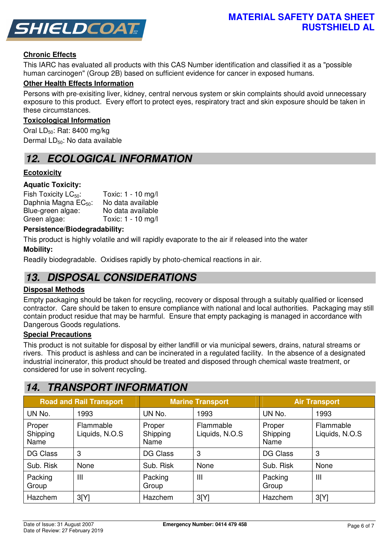

## **Chronic Effects**

This IARC has evaluated all products with this CAS Number identification and classified it as a "possible human carcinogen" (Group 2B) based on sufficient evidence for cancer in exposed humans.

## **Other Health Effects Information**

Persons with pre-exisiting liver, kidney, central nervous system or skin complaints should avoid unnecessary exposure to this product. Every effort to protect eyes, respiratory tract and skin exposure should be taken in these circumstances.

### **Toxicological Information**

Oral  $LD_{50}$ : Rat: 8400 mg/kg Dermal LD<sub>50</sub>: No data available

## **12. ECOLOGICAL INFORMATION**

## **Ecotoxicity**

### **Aquatic Toxicity:**

| Fish Toxicity $LC_{50}$ :        | Toxic: 1 - 10 mg/l |
|----------------------------------|--------------------|
| Daphnia Magna EC <sub>50</sub> : | No data available  |
| Blue-green algae:                | No data available  |
| Green algae:                     | Toxic: 1 - 10 mg/l |

### **Persistence/Biodegradability:**

This product is highly volatile and will rapidly evaporate to the air if released into the water

### **Mobility:**

Readily biodegradable. Oxidises rapidly by photo-chemical reactions in air.

## **13. DISPOSAL CONSIDERATIONS**

### **Disposal Methods**

Empty packaging should be taken for recycling, recovery or disposal through a suitably qualified or licensed contractor. Care should be taken to ensure compliance with national and local authorities. Packaging may still contain product residue that may be harmful. Ensure that empty packaging is managed in accordance with Dangerous Goods regulations.

### **Special Precautions**

This product is not suitable for disposal by either landfill or via municipal sewers, drains, natural streams or rivers. This product is ashless and can be incinerated in a regulated facility. In the absence of a designated industrial incinerator, this product should be treated and disposed through chemical waste treatment, or considered for use in solvent recycling.

## **14. TRANSPORT INFORMATION**

| <b>Road and Rail Transport</b> |                             | <b>Marine Transport</b>    |                             | <b>Air Transport</b>       |                             |
|--------------------------------|-----------------------------|----------------------------|-----------------------------|----------------------------|-----------------------------|
| UN No.                         | 1993                        | UN No.                     | 1993                        | UN No.                     | 1993                        |
| Proper<br>Shipping<br>Name     | Flammable<br>Liquids, N.O.S | Proper<br>Shipping<br>Name | Flammable<br>Liquids, N.O.S | Proper<br>Shipping<br>Name | Flammable<br>Liquids, N.O.S |
| <b>DG Class</b>                | 3                           | <b>DG Class</b>            | 3                           | <b>DG Class</b>            | 3                           |
| Sub. Risk                      | None                        | Sub. Risk                  | None                        | Sub. Risk                  | None                        |
| Packing<br>Group               | III                         | Packing<br>Group           | $\mathbf{III}$              | Packing<br>Group           | $\mathbf{III}$              |
| Hazchem                        | 3[Y]                        | Hazchem                    | 3[Y]                        | Hazchem                    | 3[Y]                        |